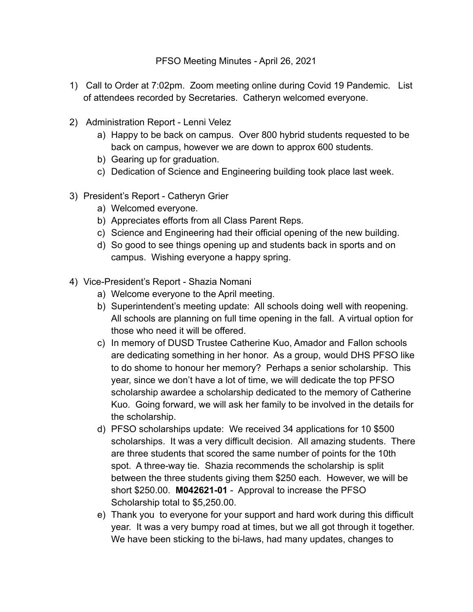## PFSO Meeting Minutes - April 26, 2021

- 1) Call to Order at 7:02pm. Zoom meeting online during Covid 19 Pandemic. List of attendees recorded by Secretaries. Catheryn welcomed everyone.
- 2) Administration Report Lenni Velez
	- a) Happy to be back on campus. Over 800 hybrid students requested to be back on campus, however we are down to approx 600 students.
	- b) Gearing up for graduation.
	- c) Dedication of Science and Engineering building took place last week.
- 3) President's Report Catheryn Grier
	- a) Welcomed everyone.
	- b) Appreciates efforts from all Class Parent Reps.
	- c) Science and Engineering had their official opening of the new building.
	- d) So good to see things opening up and students back in sports and on campus. Wishing everyone a happy spring.
- 4) Vice-President's Report Shazia Nomani
	- a) Welcome everyone to the April meeting.
	- b) Superintendent's meeting update: All schools doing well with reopening. All schools are planning on full time opening in the fall. A virtual option for those who need it will be offered.
	- c) In memory of DUSD Trustee Catherine Kuo, Amador and Fallon schools are dedicating something in her honor. As a group, would DHS PFSO like to do shome to honour her memory? Perhaps a senior scholarship. This year, since we don't have a lot of time, we will dedicate the top PFSO scholarship awardee a scholarship dedicated to the memory of Catherine Kuo. Going forward, we will ask her family to be involved in the details for the scholarship.
	- d) PFSO scholarships update: We received 34 applications for 10 \$500 scholarships. It was a very difficult decision. All amazing students. There are three students that scored the same number of points for the 10th spot. A three-way tie. Shazia recommends the scholarship is split between the three students giving them \$250 each. However, we will be short \$250.00. **M042621-01** - Approval to increase the PFSO Scholarship total to \$5,250.00.
	- e) Thank you to everyone for your support and hard work during this difficult year. It was a very bumpy road at times, but we all got through it together. We have been sticking to the bi-laws, had many updates, changes to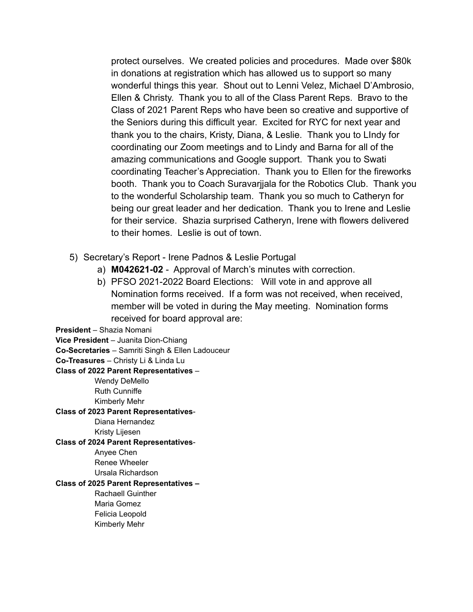protect ourselves. We created policies and procedures. Made over \$80k in donations at registration which has allowed us to support so many wonderful things this year. Shout out to Lenni Velez, Michael D'Ambrosio, Ellen & Christy. Thank you to all of the Class Parent Reps. Bravo to the Class of 2021 Parent Reps who have been so creative and supportive of the Seniors during this difficult year. Excited for RYC for next year and thank you to the chairs, Kristy, Diana, & Leslie. Thank you to LIndy for coordinating our Zoom meetings and to Lindy and Barna for all of the amazing communications and Google support. Thank you to Swati coordinating Teacher's Appreciation. Thank you to Ellen for the fireworks booth. Thank you to Coach Suravarjjala for the Robotics Club. Thank you to the wonderful Scholarship team. Thank you so much to Catheryn for being our great leader and her dedication. Thank you to Irene and Leslie for their service. Shazia surprised Catheryn, Irene with flowers delivered to their homes. Leslie is out of town.

- 5) Secretary's Report Irene Padnos & Leslie Portugal
	- a) **M042621-02** Approval of March's minutes with correction.
	- b) PFSO 2021-2022 Board Elections: Will vote in and approve all Nomination forms received. If a form was not received, when received, member will be voted in during the May meeting. Nomination forms received for board approval are:

**President** – Shazia Nomani

**Vice President** – Juanita Dion-Chiang

**Co-Secretaries** – Samriti Singh & Ellen Ladouceur

**Co-Treasures** – Christy Li & Linda Lu

**Class of 2022 Parent Representatives** –

Wendy DeMello **Ruth Cunniffe** Kimberly Mehr

## **Class of 2023 Parent Representatives**-

Diana Hernandez

Kristy Lijesen

## **Class of 2024 Parent Representatives**-

Anyee Chen Renee Wheeler

· Ursala Richardson·

## **Class of 2025 Parent Representatives –**

Rachaell Guinther Maria Gomez Felicia Leopold Kimberly Mehr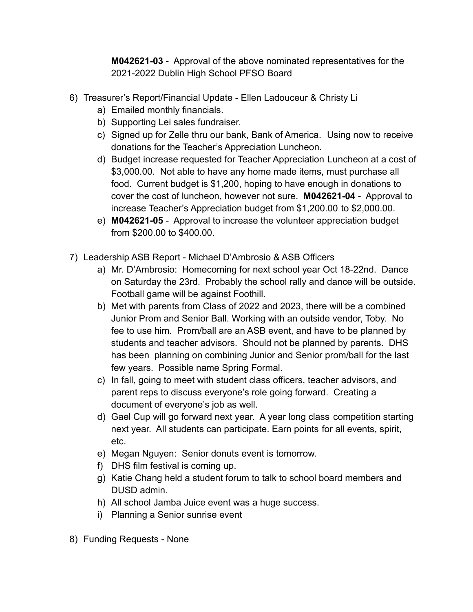**M042621-03** - Approval of the above nominated representatives for the 2021-2022 Dublin High School PFSO Board

- 6) Treasurer's Report/Financial Update Ellen Ladouceur & Christy Li
	- a) Emailed monthly financials.
	- b) Supporting Lei sales fundraiser.
	- c) Signed up for Zelle thru our bank, Bank of America. Using now to receive donations for the Teacher's Appreciation Luncheon.
	- d) Budget increase requested for Teacher Appreciation Luncheon at a cost of \$3,000.00. Not able to have any home made items, must purchase all food. Current budget is \$1,200, hoping to have enough in donations to cover the cost of luncheon, however not sure. **M042621-04** - Approval to increase Teacher's Appreciation budget from \$1,200.00 to \$2,000.00.
	- e) **M042621-05** Approval to increase the volunteer appreciation budget from \$200.00 to \$400.00.
- 7) Leadership ASB Report Michael D'Ambrosio & ASB Officers
	- a) Mr. D'Ambrosio: Homecoming for next school year Oct 18-22nd. Dance on Saturday the 23rd. Probably the school rally and dance will be outside. Football game will be against Foothill.
	- b) Met with parents from Class of 2022 and 2023, there will be a combined Junior Prom and Senior Ball. Working with an outside vendor, Toby. No fee to use him. Prom/ball are an ASB event, and have to be planned by students and teacher advisors. Should not be planned by parents. DHS has been planning on combining Junior and Senior prom/ball for the last few years. Possible name Spring Formal.
	- c) In fall, going to meet with student class officers, teacher advisors, and parent reps to discuss everyone's role going forward. Creating a document of everyone's job as well.
	- d) Gael Cup will go forward next year. A year long class competition starting next year. All students can participate. Earn points for all events, spirit, etc.
	- e) Megan Nguyen: Senior donuts event is tomorrow.
	- f) DHS film festival is coming up.
	- g) Katie Chang held a student forum to talk to school board members and DUSD admin.
	- h) All school Jamba Juice event was a huge success.
	- i) Planning a Senior sunrise event
- 8) Funding Requests None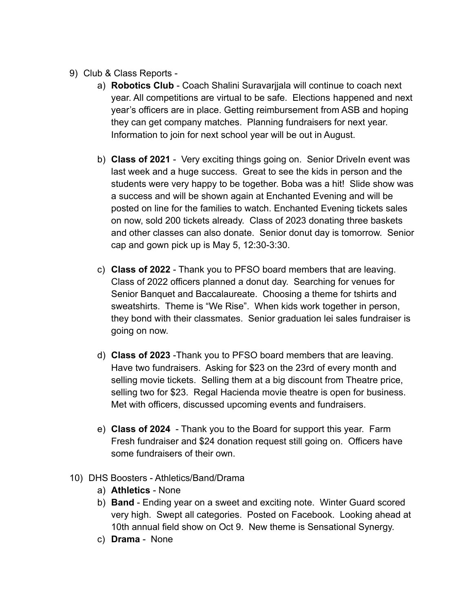- 9) Club & Class Reports
	- a) **Robotics Club** Coach Shalini Suravarjjala will continue to coach next year. All competitions are virtual to be safe. Elections happened and next year's officers are in place. Getting reimbursement from ASB and hoping they can get company matches. Planning fundraisers for next year. Information to join for next school year will be out in August.
	- b) **Class of 2021** Very exciting things going on. Senior DriveIn event was last week and a huge success. Great to see the kids in person and the students were very happy to be together. Boba was a hit! Slide show was a success and will be shown again at Enchanted Evening and will be posted on line for the families to watch. Enchanted Evening tickets sales on now, sold 200 tickets already. Class of 2023 donating three baskets and other classes can also donate. Senior donut day is tomorrow. Senior cap and gown pick up is May 5, 12:30-3:30.
	- c) **Class of 2022** Thank you to PFSO board members that are leaving. Class of 2022 officers planned a donut day. Searching for venues for Senior Banquet and Baccalaureate. Choosing a theme for tshirts and sweatshirts. Theme is "We Rise". When kids work together in person, they bond with their classmates. Senior graduation lei sales fundraiser is going on now.
	- d) **Class of 2023** -Thank you to PFSO board members that are leaving. Have two fundraisers. Asking for \$23 on the 23rd of every month and selling movie tickets. Selling them at a big discount from Theatre price, selling two for \$23. Regal Hacienda movie theatre is open for business. Met with officers, discussed upcoming events and fundraisers.
	- e) **Class of 2024** Thank you to the Board for support this year. Farm Fresh fundraiser and \$24 donation request still going on. Officers have some fundraisers of their own.
- 10) DHS Boosters Athletics/Band/Drama
	- a) **Athletics** None
	- b) **Band** Ending year on a sweet and exciting note. Winter Guard scored very high. Swept all categories. Posted on Facebook. Looking ahead at 10th annual field show on Oct 9. New theme is Sensational Synergy.
	- c) **Drama** None